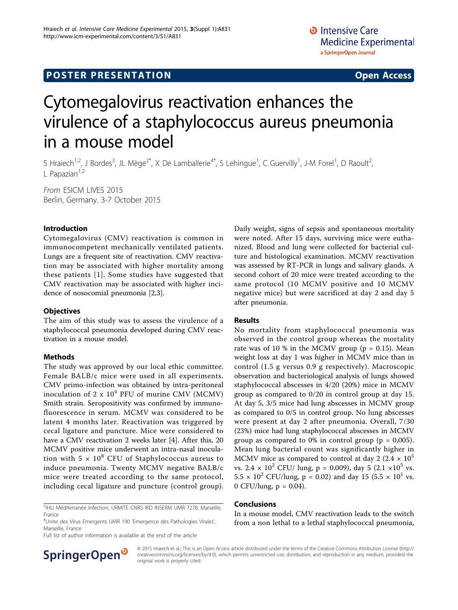# **POSTER PRESENTATION CONSUMING THE SERVICE SERVICE SERVICES**

# Cytomegalovirus reactivation enhances the virulence of a staphylococcus aureus pneumonia in a mouse model

S Hraiech<sup>1,2</sup>, J Bordes<sup>3</sup>, JL Mège<sup>2\*</sup>, X De Lamballerie<sup>4\*</sup>, S Lehingue<sup>1</sup>, C Guervilly<sup>1</sup>, J-M Forel<sup>1</sup>, D Raoult<sup>2</sup> , L Papazian $1,2$ 

From ESICM LIVES 2015 Berlin, Germany. 3-7 October 2015

# Introduction

Cytomegalovirus (CMV) reactivation is common in immunocompetent mechanically ventilated patients. Lungs are a frequent site of reactivation. CMV reactivation may be associated with higher mortality among these patients [[1\]](#page-1-0). Some studies have suggested that CMV reactivation may be associated with higher incidence of nosocomial pneumonia [[2](#page-1-0),[3\]](#page-1-0).

### **Objectives**

The aim of this study was to assess the virulence of a staphylococcal pneumonia developed during CMV reactivation in a mouse model.

### Methods

The study was approved by our local ethic committee. Female BALB/c mice were used in all experiments. CMV primo-infection was obtained by intra-peritoneal inoculation of 2 x  $10^4$  PFU of murine CMV (MCMV) Smith strain. Seropositivity was confirmed by immunofluorescence in serum. MCMV was considered to be latent 4 months later. Reactivation was triggered by cecal ligature and puncture. Mice were considered to have a CMV reactivation 2 weeks later [[4\]](#page-1-0). After this, 20 MCMV positive mice underwent an intra-nasal inoculation with  $5 \times 10^8$  CFU of Staphylococcus aureus to induce pneumonia. Twenty MCMV negative BALB/c mice were treated according to the same protocol, including cecal ligature and puncture (control group).

<sup>2</sup>IHU Méditerranée Infection, URMITE CNRS IRD INSERM UMR 7278, Marseille, France

<sup>4</sup>Unite des Virus Emergents UMR 190 'Emergence des Pathologies Virales', Marseille, France

Full list of author information is available at the end of the article

Daily weight, signs of sepsis and spontaneous mortality were noted. After 15 days, surviving mice were euthanized. Blood and lung were collected for bacterial culture and histological examination. MCMV reactivation was assessed by RT-PCR in lungs and salivary glands. A second cohort of 20 mice were treated according to the same protocol (10 MCMV positive and 10 MCMV negative mice) but were sacrificed at day 2 and day 5 after pneumonia.

### Results

No mortality from staphylococcal pneumonia was observed in the control group whereas the mortality rate was of 10 % in the MCMV group ( $p = 0.15$ ). Mean weight loss at day 1 was higher in MCMV mice than in control (1.5 g versus 0.9 g respectively). Macroscopic observation and bacteriological analysis of lungs showed staphylococcal abscesses in 4/20 (20%) mice in MCMV group as compared to 0/20 in control group at day 15. At day 5, 3/5 mice had lung abscesses in MCMV group as compared to 0/5 in control group. No lung abscesses were present at day 2 after pneumonia. Overall, 7/30 (23%) mice had lung staphylococcal abscesses in MCMV group as compared to 0% in control group ( $p = 0.005$ ). Mean lung bacterial count was significantly higher in MCMV mice as compared to control at day 2 (2.4  $\times$  10<sup>5</sup> vs.  $2.4 \times 10^2$  CFU/ lung, p = 0.009), day 5 (2.1  $\times 10^5$  vs.  $5.5 \times 10^2$  CFU/lung, p = 0.02) and day 15 (5.5  $\times$  10<sup>1</sup> vs. 0 CFU/lung,  $p = 0.04$ ).

## Conclusions

In a mouse model, CMV reactivation leads to the switch from a non lethal to a lethal staphylococcal pneumonia,



© 2015 Hraiech et al.; This is an Open Access article distributed under the terms of the Creative Commons Attribution License [\(http://](http://creativecommons.org/licenses/by/4.0) [creativecommons.org/licenses/by/4.0](http://creativecommons.org/licenses/by/4.0)), which permits unrestricted use, distribution, and reproduction in any medium, provided the original work is properly cited.